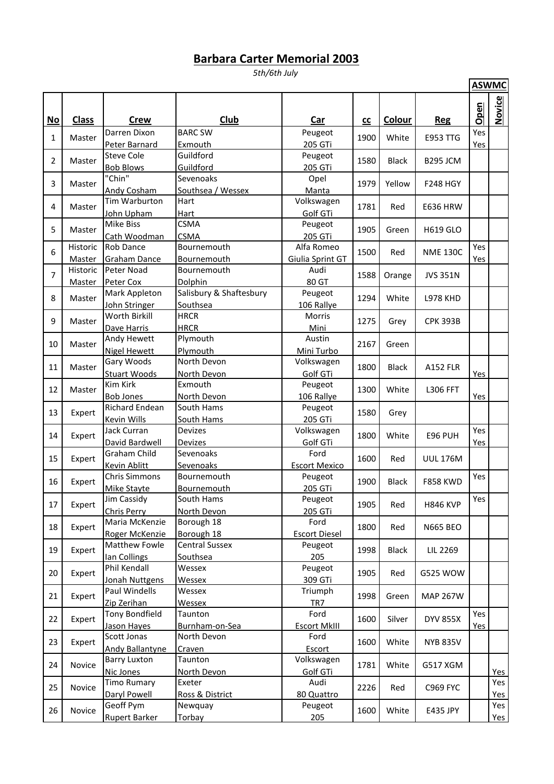## **Barbara Carter Memorial 2003**

## *5th/6th July*

|                     |                                      |                                    |                              |                       |              |                                        | <b>ASWMC</b>                                          |            |                   |  |
|---------------------|--------------------------------------|------------------------------------|------------------------------|-----------------------|--------------|----------------------------------------|-------------------------------------------------------|------------|-------------------|--|
|                     |                                      |                                    |                              |                       |              |                                        |                                                       | Open       | <b>Novice</b>     |  |
| No                  | <b>Class</b>                         | <b>Crew</b>                        | Club                         | Car                   | cc           | Colour                                 | <b>Reg</b>                                            |            |                   |  |
| 1                   | Master                               | Darren Dixon<br>Peter Barnard      | <b>BARC SW</b><br>Exmouth    | Peugeot<br>205 GTi    | 1900         | White                                  | <b>E953 TTG</b>                                       | Yes<br>Yes |                   |  |
| $\overline{2}$<br>3 | Master<br>Master                     | <b>Steve Cole</b>                  | Guildford                    | Peugeot               |              | <b>Black</b><br>Yellow                 | <b>B295 JCM</b><br><b>F248 HGY</b>                    |            |                   |  |
|                     |                                      | <b>Bob Blows</b>                   | Guildford                    | 205 GTi               | 1580         |                                        |                                                       |            |                   |  |
|                     |                                      | "Chin"                             | Sevenoaks                    | Opel                  |              |                                        |                                                       |            |                   |  |
|                     |                                      | <b>Andy Cosham</b>                 | Southsea / Wessex            | Manta                 | 1979         |                                        |                                                       |            |                   |  |
|                     | Master                               | Tim Warburton                      | Hart                         | Volkswagen            |              | Red                                    | <b>E636 HRW</b>                                       |            |                   |  |
| 4                   |                                      | John Upham                         | Hart                         | Golf GTi              | 1781         |                                        |                                                       |            |                   |  |
| 5                   | Master                               | <b>Mike Biss</b>                   | <b>CSMA</b>                  | Peugeot               | 1905         | Green                                  | H619 GLO                                              |            |                   |  |
|                     |                                      | Cath Woodman                       | <b>CSMA</b>                  | 205 GTi               |              |                                        |                                                       |            |                   |  |
| 6<br>7              | Historic                             | <b>Rob Dance</b>                   | Bournemouth                  | Alfa Romeo            | 1500         | Red                                    | <b>NME 130C</b>                                       | Yes        |                   |  |
|                     | Master                               | <b>Graham Dance</b>                | Bournemouth                  | Giulia Sprint GT      |              |                                        |                                                       | Yes        |                   |  |
|                     | Historic                             | Peter Noad                         | Bournemouth                  | Audi                  | 1588         | Orange                                 | <b>JVS 351N</b>                                       |            |                   |  |
|                     | Master                               | Peter Cox                          | Dolphin                      | 80 GT                 |              |                                        |                                                       |            |                   |  |
| 8                   | Master                               | Mark Appleton                      | Salisbury & Shaftesbury      | Peugeot               | 1294         | White                                  | <b>L978 KHD</b>                                       |            |                   |  |
|                     |                                      | John Stringer                      | Southsea                     | 106 Rallye            |              |                                        |                                                       |            |                   |  |
| 9<br>10<br>11<br>12 | Master<br>Master<br>Master<br>Master | Worth Birkill                      | <b>HRCR</b>                  | <b>Morris</b>         | 1275         | Grey<br>Green<br><b>Black</b><br>White | <b>CPK 393B</b><br><b>A152 FLR</b><br><b>L306 FFT</b> |            |                   |  |
|                     |                                      | Dave Harris                        | <b>HRCR</b>                  | Mini                  |              |                                        |                                                       |            |                   |  |
|                     |                                      | Andy Hewett                        | Plymouth                     | Austin                | 2167         |                                        |                                                       |            |                   |  |
|                     |                                      | <b>Nigel Hewett</b>                | Plymouth                     | Mini Turbo            |              |                                        |                                                       |            |                   |  |
|                     |                                      | Gary Woods                         | North Devon                  | Volkswagen            | 1800         |                                        |                                                       |            |                   |  |
|                     |                                      | <b>Stuart Woods</b>                | North Devon                  | Golf GTi              |              |                                        |                                                       | Yes        |                   |  |
|                     |                                      | Kim Kirk                           | Exmouth                      | Peugeot               | 1300         |                                        |                                                       |            |                   |  |
| 13                  | Expert                               | <b>Bob Jones</b>                   | North Devon                  | 106 Rallye            | 1580         | Grey                                   |                                                       | <b>Yes</b> |                   |  |
|                     |                                      | Richard Endean                     | South Hams                   | Peugeot               |              |                                        |                                                       |            |                   |  |
| 14                  | Expert                               | Kevin Wills<br>Jack Curran         | South Hams<br><b>Devizes</b> | 205 GTi<br>Volkswagen | 1800         | White                                  | E96 PUH                                               | Yes        |                   |  |
|                     |                                      | David Bardwell                     | Devizes                      | Golf GTi              |              |                                        |                                                       | Yes        |                   |  |
| 15                  | Expert                               | Graham Child                       | Sevenoaks                    | Ford                  | 1600         | Red                                    | <b>UUL 176M</b>                                       |            |                   |  |
|                     |                                      | Kevin Ablitt                       | Sevenoaks                    | <b>Escort Mexico</b>  |              |                                        |                                                       |            |                   |  |
| 16                  | Expert                               | <b>Chris Simmons</b>               | Bournemouth                  | Peugeot               | 1900         | Black                                  | <b>F858 KWD</b>                                       | Yes        |                   |  |
|                     |                                      | Mike Stayte                        | Bournemouth                  | 205 GTi               |              |                                        |                                                       |            |                   |  |
| 17                  | Expert                               | Jim Cassidy                        | South Hams                   | Peugeot               | 1905         | Red                                    | <b>H846 KVP</b>                                       | Yes        |                   |  |
|                     |                                      | Chris Perry                        | North Devon                  | 205 GTi               |              |                                        |                                                       |            |                   |  |
| 18                  | Expert                               | Maria McKenzie                     | Borough 18                   | Ford                  | 1800         | Red                                    | <b>N665 BEO</b>                                       |            |                   |  |
|                     |                                      | Roger McKenzie                     | Borough 18                   | <b>Escort Diesel</b>  |              |                                        |                                                       |            |                   |  |
| 19<br>20<br>21      | Expert<br>Expert<br>Expert           | Matthew Fowle                      | <b>Central Sussex</b>        | Peugeot               | 1998<br>1905 | <b>Black</b><br>Red<br>Green           | LIL 2269<br>G525 WOW<br><b>MAP 267W</b>               |            |                   |  |
|                     |                                      | Ian Collings                       | Southsea                     | 205                   |              |                                        |                                                       |            |                   |  |
|                     |                                      | Phil Kendall                       | Wessex                       | Peugeot               |              |                                        |                                                       |            |                   |  |
|                     |                                      | Jonah Nuttgens                     | Wessex                       | 309 GTi               |              |                                        |                                                       |            |                   |  |
|                     |                                      | Paul Windells                      | Wessex                       | Triumph               | 1998         |                                        |                                                       |            |                   |  |
|                     |                                      | Zip Zerihan                        | Wessex                       | TR7                   |              |                                        |                                                       |            |                   |  |
| 22                  | Expert                               | Tony Bondfield                     | Taunton                      | Ford                  | 1600         | Silver                                 | <b>DYV 855X</b>                                       | Yes        |                   |  |
|                     |                                      | Jason Hayes                        | Burnham-on-Sea               | <b>Escort MkIII</b>   |              |                                        |                                                       | <b>Yes</b> |                   |  |
| 23<br>24            | Expert<br>Novice                     | Scott Jonas                        | North Devon                  | Ford                  | 1600<br>1781 | White<br>White                         | <b>NYB 835V</b><br>G517 XGM                           |            |                   |  |
|                     |                                      | <b>Andy Ballantyne</b>             | Craven                       | Escort                |              |                                        |                                                       |            |                   |  |
|                     |                                      | <b>Barry Luxton</b>                | Taunton                      | Volkswagen            |              |                                        |                                                       |            |                   |  |
|                     |                                      | Nic Jones                          | North Devon                  | Golf GTi              |              |                                        |                                                       |            | Yes               |  |
| 25                  | Novice                               | <b>Timo Rumary</b><br>Daryl Powell | Exeter<br>Ross & District    | Audi<br>80 Quattro    | 2226         | Red                                    | <b>C969 FYC</b>                                       |            | Yes<br><b>Yes</b> |  |
| 26                  | Novice                               | Geoff Pym                          | Newquay                      | Peugeot               |              | White                                  | E435 JPY                                              |            | Yes               |  |
|                     |                                      | <b>Rupert Barker</b>               | Torbay                       | 205                   | 1600         |                                        |                                                       |            | Yes               |  |